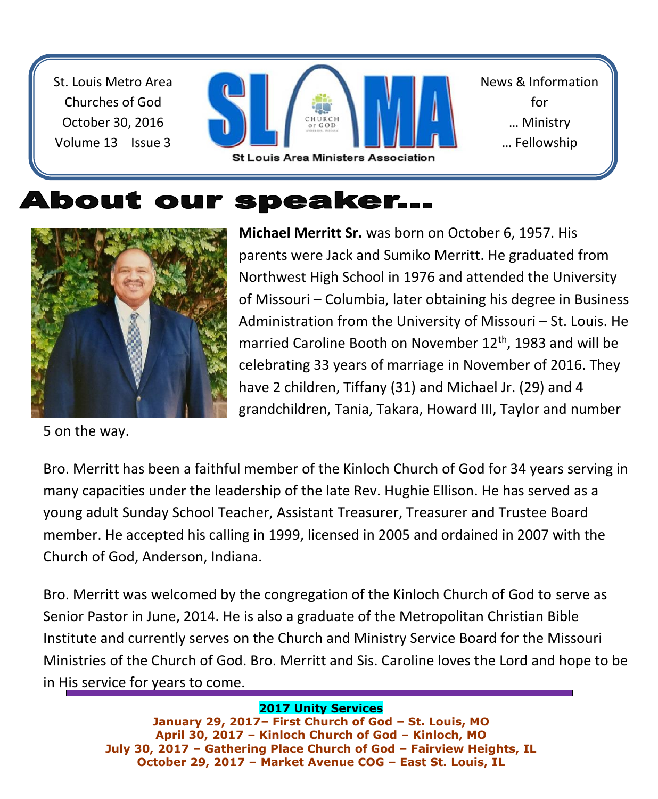St. Louis Metro Area Churches of God October 30, 2016 Volume 13 Issue 3



News & Information for … Ministry … Fellowship

# About our speaker...



5 on the way.

**Michael Merritt Sr.** was born on October 6, 1957. His parents were Jack and Sumiko Merritt. He graduated from Northwest High School in 1976 and attended the University of Missouri – Columbia, later obtaining his degree in Business Administration from the University of Missouri – St. Louis. He married Caroline Booth on November 12<sup>th</sup>, 1983 and will be celebrating 33 years of marriage in November of 2016. They have 2 children, Tiffany (31) and Michael Jr. (29) and 4 grandchildren, Tania, Takara, Howard III, Taylor and number

Bro. Merritt has been a faithful member of the Kinloch Church of God for 34 years serving in many capacities under the leadership of the late Rev. Hughie Ellison. He has served as a young adult Sunday School Teacher, Assistant Treasurer, Treasurer and Trustee Board member. He accepted his calling in 1999, licensed in 2005 and ordained in 2007 with the Church of God, Anderson, Indiana.

Bro. Merritt was welcomed by the congregation of the Kinloch Church of God to serve as Senior Pastor in June, 2014. He is also a graduate of the Metropolitan Christian Bible Institute and currently serves on the Church and Ministry Service Board for the Missouri Ministries of the Church of God. Bro. Merritt and Sis. Caroline loves the Lord and hope to be in His service for years to come.

#### **2017 Unity Services**

**January 29, 2017– First Church of God – St. Louis, MO April 30, 2017 – Kinloch Church of God – Kinloch, MO July 30, 2017 – Gathering Place Church of God – Fairview Heights, IL October 29, 2017 – Market Avenue COG – East St. Louis, IL**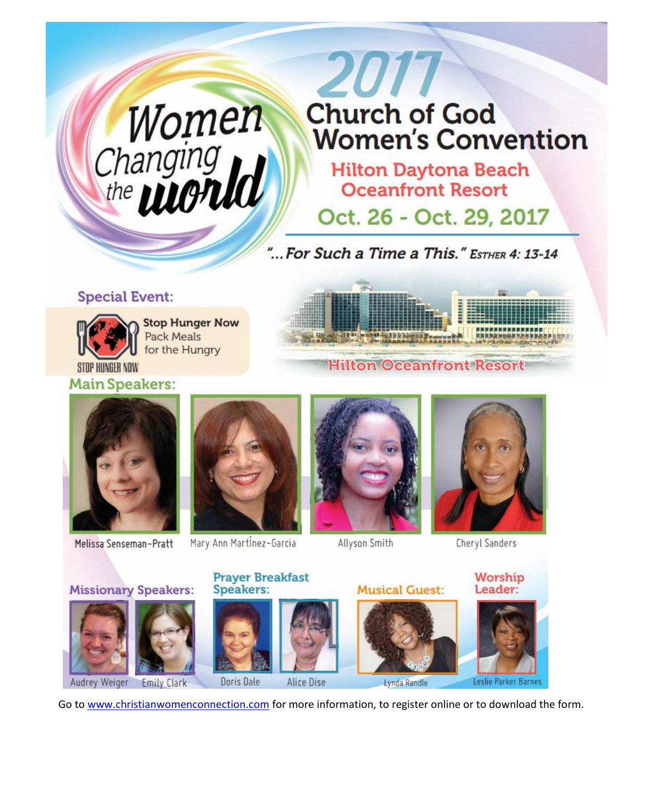# Women<br>Changing<br>the **WONU**

# 2017 **Church of God Women's Convention**

**Hilton Daytona Beach Oceanfront Resort** 

Oct. 26 - Oct. 29, 2017

"... For Such a Time a This." ESTHER 4: 13-14

#### **Special Event:**



**Stop Hunger Now Pack Meals** for the Hungry

STOP HUNGER NOW **Main Speakers:** 



#### **Hilton Oceanfront Resort**



Melissa Senseman-Pratt



Mary Ann Martinez-Garcia



**Allyson Smith** 



**Cheryl Sanders** 



Go to www.christianwomenconnection.com for more information, to register online or to download the form.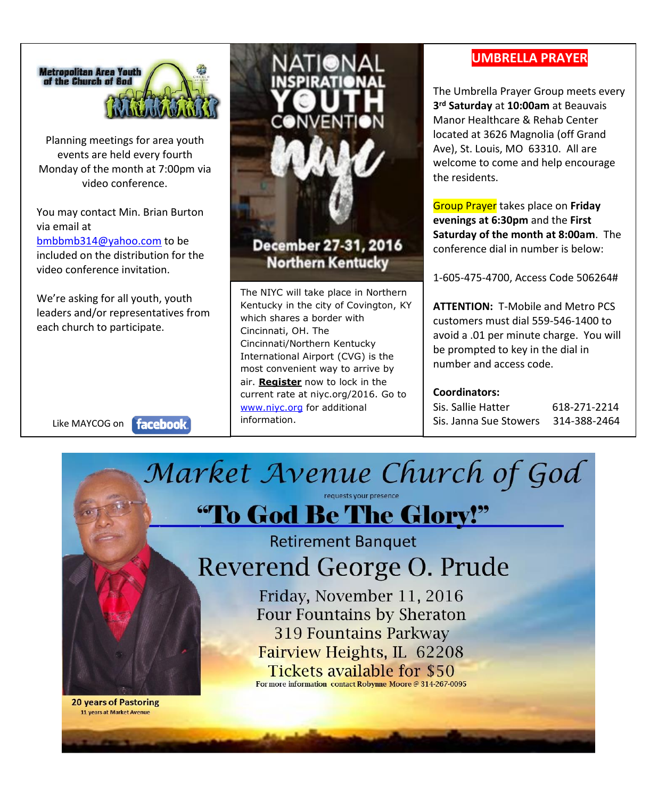

Planning meetings for area youth events are held every fourth Monday of the month at 7:00pm via video conference.

You may contact Min. Brian Burton via email at

[bmbbmb314@yahoo.com](mailto:bmbbmb314@yahoo.com) to be included on the distribution for the video conference invitation.

We're asking for all youth, youth leaders and/or representatives from each church to participate.

Like MAYCOG on **facebook** 



#### December 27-31, 2016 **Northern Kentucky**

The NIYC will take place in Northern Kentucky in the city of Covington, KY which shares a border with Cincinnati, OH. The Cincinnati/Northern Kentucky International Airport (CVG) is the most convenient way to arrive by air. **[Register](http://niyc.org/registration)** now to lock in the current rate at niyc.org/2016. Go to [www.niyc.org](http://www.niyc.org/) for additional information.

#### **UMBRELLA PRAYER**

The Umbrella Prayer Group meets every **3 rd Saturday** at **10:00am** at Beauvais Manor Healthcare & Rehab Center located at 3626 Magnolia (off Grand Ave), St. Louis, MO 63310. All are welcome to come and help encourage the residents.

Group Prayer takes place on **Friday evenings at 6:30pm** and the **First Saturday of the month at 8:00am**. The conference dial in number is below:

1-605-475-4700, Access Code 506264#

**ATTENTION:** T-Mobile and Metro PCS customers must dial 559-546-1400 to avoid a .01 per minute charge. You will be prompted to key in the dial in number and access code.

#### **Coordinators:**

Sis. Sallie Hatter 618-271-2214 Sis. Janna Sue Stowers 314-388-2464



Friday, November 11, 2016 **Four Fountains by Sheraton 319 Fountains Parkway** Fairview Heights, IL 62208 **Tickets available for \$50** 

For more information contact Robynne Moore @ 314-267-0095

**20 years of Pastoring** 11 years at Market Avenue